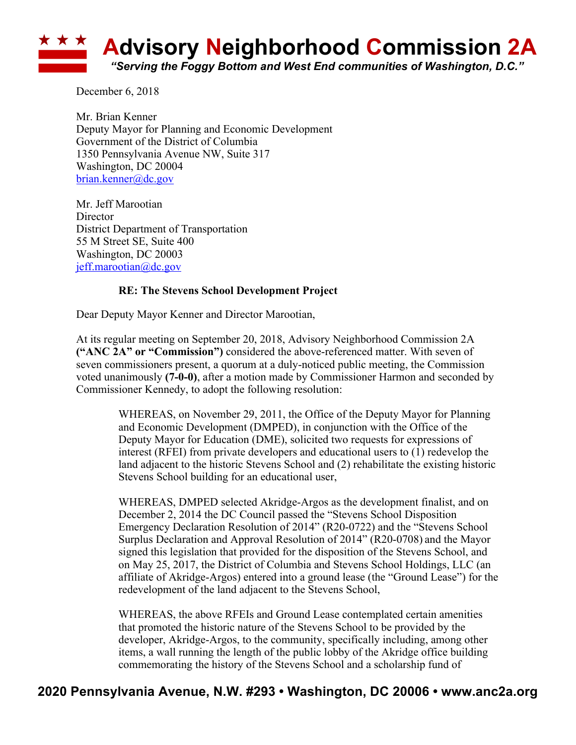

December 6, 2018

Mr. Brian Kenner Deputy Mayor for Planning and Economic Development Government of the District of Columbia 1350 Pennsylvania Avenue NW, Suite 317 Washington, DC 20004 brian.kenner@dc.gov

Mr. Jeff Marootian Director District Department of Transportation 55 M Street SE, Suite 400 Washington, DC 20003 jeff.marootian@dc.gov

## **RE: The Stevens School Development Project**

Dear Deputy Mayor Kenner and Director Marootian,

At its regular meeting on September 20, 2018, Advisory Neighborhood Commission 2A **("ANC 2A" or "Commission")** considered the above-referenced matter. With seven of seven commissioners present, a quorum at a duly-noticed public meeting, the Commission voted unanimously **(7-0-0)**, after a motion made by Commissioner Harmon and seconded by Commissioner Kennedy, to adopt the following resolution:

> WHEREAS, on November 29, 2011, the Office of the Deputy Mayor for Planning and Economic Development (DMPED), in conjunction with the Office of the Deputy Mayor for Education (DME), solicited two requests for expressions of interest (RFEI) from private developers and educational users to (1) redevelop the land adjacent to the historic Stevens School and (2) rehabilitate the existing historic Stevens School building for an educational user,

> WHEREAS, DMPED selected Akridge-Argos as the development finalist, and on December 2, 2014 the DC Council passed the "Stevens School Disposition Emergency Declaration Resolution of 2014" (R20-0722) and the "Stevens School Surplus Declaration and Approval Resolution of 2014" (R20-0708) and the Mayor signed this legislation that provided for the disposition of the Stevens School, and on May 25, 2017, the District of Columbia and Stevens School Holdings, LLC (an affiliate of Akridge-Argos) entered into a ground lease (the "Ground Lease") for the redevelopment of the land adjacent to the Stevens School,

WHEREAS, the above RFEIs and Ground Lease contemplated certain amenities that promoted the historic nature of the Stevens School to be provided by the developer, Akridge-Argos, to the community, specifically including, among other items, a wall running the length of the public lobby of the Akridge office building commemorating the history of the Stevens School and a scholarship fund of

## **2020 Pennsylvania Avenue, N.W. #293 • Washington, DC 20006 • www.anc2a.org**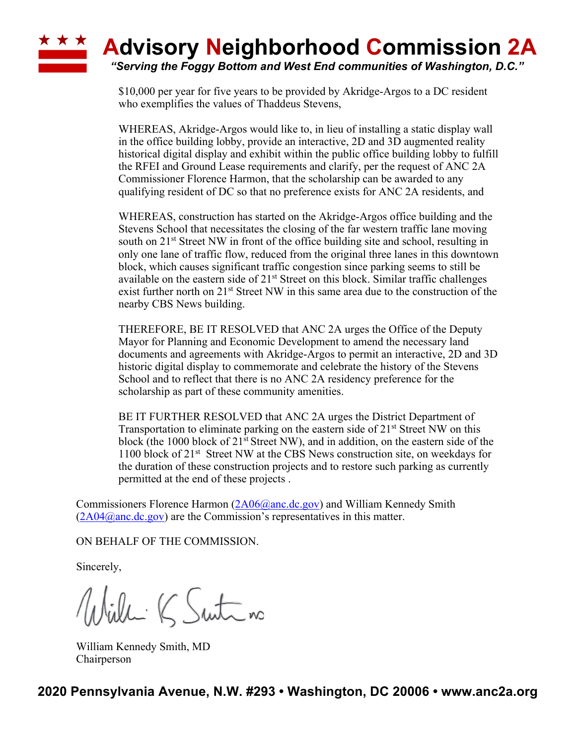## **A Advisory Neighborhood Commission 2A**

*"Serving the Foggy Bottom and West End communities of Washington, D.C."*

\$10,000 per year for five years to be provided by Akridge-Argos to a DC resident who exemplifies the values of Thaddeus Stevens,

WHEREAS, Akridge-Argos would like to, in lieu of installing a static display wall in the office building lobby, provide an interactive, 2D and 3D augmented reality historical digital display and exhibit within the public office building lobby to fulfill the RFEI and Ground Lease requirements and clarify, per the request of ANC 2A Commissioner Florence Harmon, that the scholarship can be awarded to any qualifying resident of DC so that no preference exists for ANC 2A residents, and

WHEREAS, construction has started on the Akridge-Argos office building and the Stevens School that necessitates the closing of the far western traffic lane moving south on  $21<sup>st</sup>$  Street NW in front of the office building site and school, resulting in only one lane of traffic flow, reduced from the original three lanes in this downtown block, which causes significant traffic congestion since parking seems to still be available on the eastern side of  $21<sup>st</sup>$  Street on this block. Similar traffic challenges exist further north on 21<sup>st</sup> Street NW in this same area due to the construction of the nearby CBS News building.

THEREFORE, BE IT RESOLVED that ANC 2A urges the Office of the Deputy Mayor for Planning and Economic Development to amend the necessary land documents and agreements with Akridge-Argos to permit an interactive, 2D and 3D historic digital display to commemorate and celebrate the history of the Stevens School and to reflect that there is no ANC 2A residency preference for the scholarship as part of these community amenities.

BE IT FURTHER RESOLVED that ANC 2A urges the District Department of Transportation to eliminate parking on the eastern side of  $21<sup>st</sup>$  Street NW on this block (the 1000 block of 21<sup>st</sup> Street NW), and in addition, on the eastern side of the 1100 block of 21<sup>st</sup> Street NW at the CBS News construction site, on weekdays for the duration of these construction projects and to restore such parking as currently permitted at the end of these projects .

Commissioners Florence Harmon (2A06@anc.dc.gov) and William Kennedy Smith  $(2A04@anc.de.gov)$  are the Commission's representatives in this matter.

ON BEHALF OF THE COMMISSION.

Sincerely,

Willi K Suite no

William Kennedy Smith, MD Chairperson